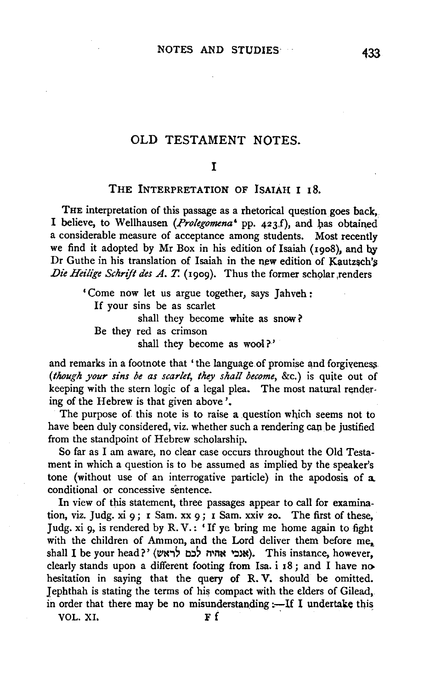# OLD TESTAMENT NOTES.

## I

#### THE INTERPRETATION OF ISAIAH I 18.

THE interpretation of this passage as a rhetorical question goes back, I believe, to Wellhausen (Prolegomena<sup>4</sup> pp. 423f), and has obtained a considerable measure of acceptance among students. Most recently we find it adopted by Mr Box in his edition of Isaiah (19o8), and by Dr Guthe in his translation of Isaiah in the new edition of Kautzsch's *Die Heilige Schrift des A. T.* (1909). Thus the former scholar renders

'Come now let us argue together, says Jahveh : If your sins be as scarlet shall they become white as snow ? Be they red as crimson shall they become as wool?'

and remarks in a footnote that 'the language of promise and forgiveness. *(though your sins be as scarlet, they shall become,* &c.) is quite out of keeping with the stern logic of a legal plea. The most natural rendering of the Hebrew is that given above'.

The purpose of this note is to raise a question which seems not to have been duly considered, viz. whether such a rendering cap be justified from the standpoint of Hebrew scholarship.

So far as I am aware, no clear case occurs throughout the Old Testament in which a question is to be assumed as implied by the speaker's tone (without use of an interrogative particle) in the apodosis of a. conditional or concessive sentence.

In view of this statement, three passages appear to call for examination, viz. Judg. xi 9; r Sam. xx 9; I Sam. xxiv 20. The first of these, Judg. xi 9, is rendered by R. V.: 'If ye bring me home again to fight with the children of Ammon, and the Lord deliver them before me. shall I be your head?' (אגבי אהיה לכם לראש). This instance, however, clearly stands upon a different footing from Isa. i 18; and I have no hesitation in saying that the query of R. V. should be omitted. Jephthah is stating the terms of his compact with the elders of Gilead, in order that there may be no misunderstanding  $:-$  If I undertake this

VOL. XI.  $\mathbf{F} \mathbf{f}$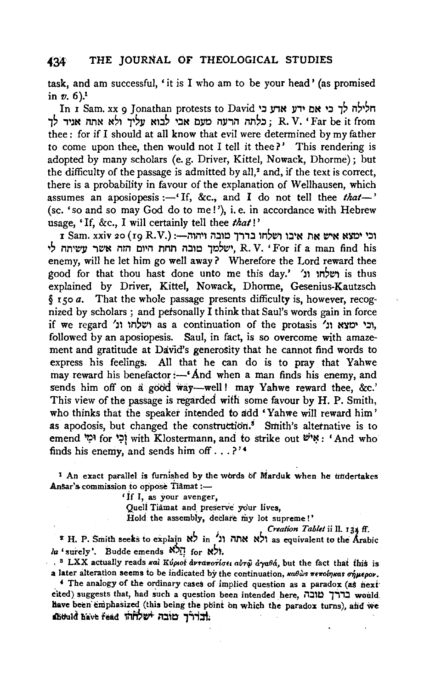task, and am successful, 'it is I who am to be your head' (as promised in  $v. 6$ ).<sup>1</sup>

In I Sam. xx 9 Jonathan protests to David חלילה לך כי אם ידע אדע כי , בלתה הרעה מעם אבי לבוא עליד ולא אתה אגיר לד , R. V. 'Far be it from thee : for if I should at all know that evil were determined by my father to come upon thee, then would not I tell it thee?' This rendering is adopted by many scholars (e. g. Driver, Kittel, Nowack, Dhorme); but the difficulty of the passage is admitted by all,<sup>2</sup> and, if the text is correct, there is a probability in favour of the explanation of Wellhausen, which assumes an aposiopesis :-'If, &c., and I do not tell thee *that*-' (se. 'so and so may God do to me!'), i.e. in accordance with Hebrew usage, ' If, &c., I will certainly tell thee *that!* '

I Sam. xxiv 20 ( 19 R. V.) :-illil'l il.:ll~ ,.,.,.:l lM'1:11 l.:l'N *ntt* tt"N N~ '::ll ישלמך טובה תחת היום הזה אשר עשיתה לי, R. V. ' For if a man find his enemy, will he let him go well away? Wherefore the Lord reward thee good for that thou hast done unto me this day.' 'ושלחו וג' ושלחו וג explained by Driver, Kittel, Nowack, Dhorme, Gesenius-Kautzsch *§* rso *a.* That the whole passage presents difficulty is, however, recognized by scholars ; and petsonally I think that Saul's words gain in force  $i$ f we regard 'ובי ימצא וג', as a continuation of the protasis 'ובי ימצא וג', followed by an aposiopesis. Saul, in fact, is so overcome with amazement and gratitude at DaVid's generosity that he cannot find words to express his feelings. All that he can do is to pray that Yahwe may reward his benefactor :- 'And when a man finds his enemy, and sends him off on a good way-well! may Yahwe reward thee, &c.' This view of the passage is regarded wifb some favour by H. P. Smith, who thinks that the speaker intended to add 'Yahwe will reward him' as apodosis, but changed the construction.<sup>5</sup> Smith's alternative is to emend 'כִי for 'אֲיֹשׁ with Klostermann, and to strike out "יָאיש: 'And who finds his enemy, and sends him off  $\ldots$ ?<sup>74</sup>

<sup>1</sup> An exact parallel is furnished by the words of Marduk when he titidertakes  $n<sup>2</sup>$  commission to oppose Tiamat :-Ansar's commission to oppose Tiamat :-<br>If I, as your avenger,

Quell Tiamat and preserve your lives,

Hold the assembly, declare my lot supreme!'

Creation Tablet *ii* ll. 134 ff. *s* H. P. Smith seeks to explain N; in Jl ilnN N;l as equivalent to the Arabic  $\ln$  'surely'. Budde emends  $\aleph_{\mathcal{D}}$  for  $\aleph_{\mathcal{D}}$ ,

<sup>8</sup> LXX actually reads και Κύριος ανταποτίσει αυτώ αγαθά, but the fact that this is  $\frac{1}{2}$  and actually reads for respositor the continuation, 11th the continuation, 11th 11th September 11th S

arci anciation seems to be muitated by the continuation, *subustination, as a paradox of people* f The analogy of the ordinary cases of implied question as a paradox (as next cited) suggests that, had such a question been intended here, וברך מובה liave been eniphasized (this being the plint on which the paradox turns), and we<br>intervalsed the paradox turns of the plant of the paradox turns of the paradox turns), and we we been emphasized (this being the point on which the paradox turns), and we had the rock in  $\frac{1}{2}$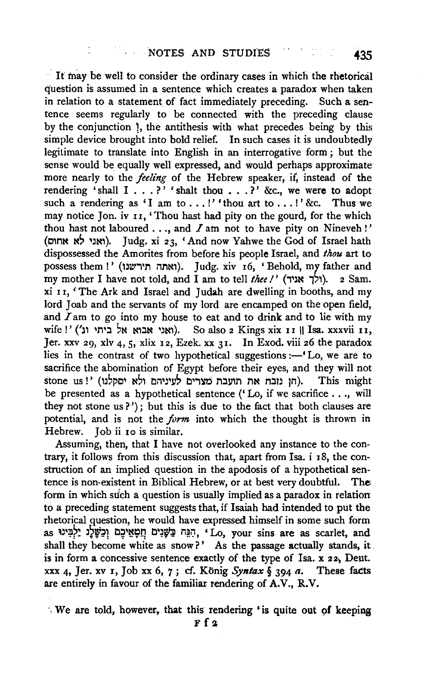· It tnay be well to consider the ordinary cases in which the rhetorical question is assumed in a sentence which creates a paradox when taken in relation to a statement of fact immediately preceding. Such a sentence seems regularly to be connected with the preceding clause by the conjunction 1, the antithesis with what precedes being by this simple device brought into bold relief. In such cases it is undoubtedly legitimate to translate into English in an interrogative form ; but the sense would be equally well expressed, and would perhaps approximate more nearly to the *feeling* of the Hebrew speaker, if, instead of the rendering 'shall  $I \ldots$ ?' 'shalt thou . . .?' &c., we were to adopt such a rendering as 'I am to ...!' 'thou art to ...!' &c. Thus we may notice Jon. iv II, 'Thou hast had pity on the gourd, for the which thou hast not laboured  $\dots$ , and  $I$  am not to have pity on Nineveh!' (אגי לא אחום). Judg. xi 23, 'And now Yahwe the God of Israel hath dispossessed the Amorites from before his people Israel, and *thou* art to possess them!' (ואתה תירשנו). Judg. xiv 16, 'Behold, my father and my mother I have not told, and I am to tell *thee !'* (ולך אגיר). 2 Sam. xi II, 'The Ark and Israel and Judah are dwelling in booths, and my lord Joab and the servants of my lord are encamped on the open field, and  $I$  am to go into my house to eat and to drink and to lie with my wife !' ('אני אבוא אל ביתי וג'). So also 2 Kings xix 11 || Isa. xxxvii 11, Jer. xxv 29, xlv 4, 5, xlix 12, Ezek. xx 31. In Exod. viii 26 the paradox lies in the contrast of two hypothetical suggestions  $:$  -  $\mathcal{L}$  Lo, we are to sacrifice the abomination of Egypt before their eyes, and they will not stone us !' (הן נזבח את תועבת מצרים לעיניהם ולא יסקלנו). be presented as a hypothetical sentence (' Lo, if we sacrifice ... , will they not stone us?'); but this is due to the fact that both clauses are potential, and is not the *furm* into which the thought is thrown in Hebrew. Tob ii 10 is similar.

Assuming, then, that I have not overlooked any instance to the contrary, it follows from this discussion that, apart from Isa. i 18, the construction of an implied question in the apodosis of a hypothetical sentence is non-existent in Biblical Hebrew, or at best very doubtful. The form in which such a question is usually implied as a paradox in relation to a preceding statement suggests that, if Isaiah had intended to put the rhetorical question, he would have expressed himself in some such form as יִבְשֶּׁלֶג יַלְבִּינוּ as scarlet, and shall they become white as snow?' As the passage actually stands, it is in form a concessive sentence exactly of the type of Isa. x 22, Deut. xxx 4, Jer. xv 1, Job xx 6, 7; cf. König *Syntax*  $\S$  394 *a*. These facts are entirely in favour of the familiar rendering of A.V., R.V.

We are told, however, that this rendering 'is quite out of keeping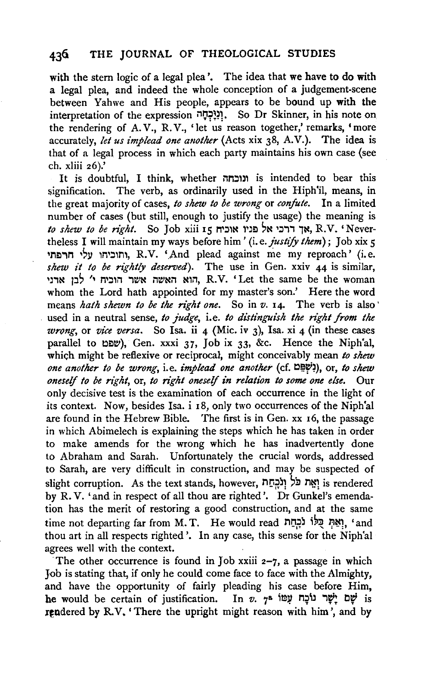with the stem logic of a legal plea'. The idea that we have to do with a legal plea, and indeed the whole conception of a judgement-scene between Yahwe and His people, appears to be bound up with the interpretation of the expression n~;~:rm. So Dr Skinner, in his note on the rendering of A.V., R.V., 'let us reason together,' remarks, 'more accurately, *let us implead one another* (Acts xix 38, A.V.). The idea is that of a legal process in which each party maintains his own case (see eh. xliii 26).'

It is doubtful, I think, whether ונוכחה is intended to bear this signification. The verb, as ordinarily used in the Hiph'il, means, in the great majority of cases, *to shew to be wrong* or *confute.* In a limited number of cases (but still, enough to justify the usage) the meaning is *to shew to be right*. So Job xiii 15 אד דרכי אל פניו אוכח, R.V. 'Nevertheless I will maintain my ways before him ' (i.e. *justify them)* ; Job xix 5 ותוכיחו עלי חרפתי, R.V. 'And plead against me my reproach' (i.e. shew it to be rightly deserved). The use in Gen. xxiv 44 is similar, הוא האשה אשר הוכיח ' לבן ארני, R.V. 'Let the same be the woman whom the Lord hath appointed for my master's son.' Here the word means *hath shewn to be the right one*. So in *v*. 14. The verb is also used in a neutral sense, to judge, i.e. to distinguish the right from the *wnmg,* or *vice versa.* So Isa. ii 4 (Mic. iv 3), Isa. xi 4 (in these cases parallel to  $\omega \omega$ ), Gen. xxxi 37, Job ix 33, &c. Hence the Niph'al, which might be reflexive or reciprocal, might conceivably mean *to shew one another to be wrong,* i.e. *implead one another* (cf.!:)~~~), or, *to shew oneself to be right, or, to right oneself in relation to some one else.* Our only decisive test is the examination of each occurrence in the light of its context. Now, besides Isa. i 18, only two occurrences of the Niph'al are found in the Hebrew Bible. The first is in Gen. xx 16, the passage in which Abimelech is explaining the steps which he has taken in order to make amends for the wrong which he has inadvertently done to Abraham and Sarah. Unfortunately the crucial words, addressed to Sarah, are very difficult in construction, and may be suspected of slight corruption. As the text stands, however, nr;~j1 ~;;, n~1 is rendered by R. V. 'and in respect of all thou are righted'. Dr Gunkel's emendation has the merit of restoring a good construction, and at the same time not departing far from M. T. He would read וְאֵתְּ כָּלוֹ נֹכְחַת . 'and thou art in all respects righted'. In any case, this sense for the Niph'al agrees well with the context.

The other occurrence is found in Job xxiii  $2-7$ , a passage in which Job is stating that, if only he could come face to face with the Almighty, and have the opportunity of fairly pleading his case before Him, he would be certain of justification. In *v. יָשָּׁר* נוֹכָה עָמוֹ is rendered by R.V. 'There the upright might reason with him', and by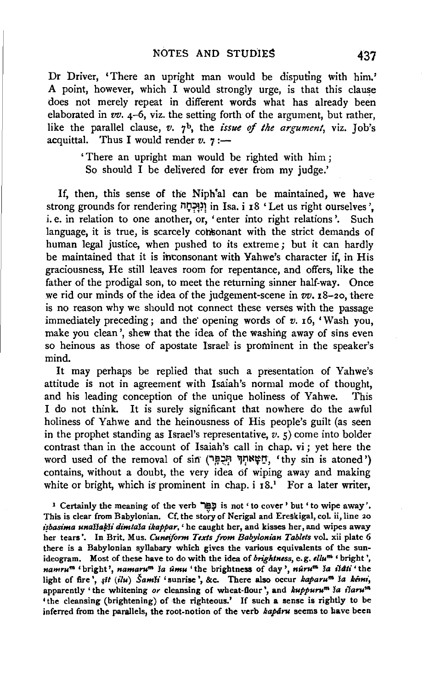Dr Driver, 'There an upright man would be disputing with him.' A point, however, which I would strongly urge, is that this clause does not merely repeat in different words what has already been elaborated in *vv.* 4-6, viz. the setting forth of the argument, but rather, like the parallel clause, *v.* 7b, the *issue* of *the argument,* viz. Job's acquittal. Thus I would render  $v$ .  $\gamma$  :-

> 'There an upright man would be righted with him ; So should I be deliveted for ever from my judge.'

If, then, this sense of the Niph'al can be maintained, we have strong grounds for rendering וְנִוָּכְחָה in Isa. i 18 'Let us right ourselves'. i.e. in relation to one another, or, 'enter into right relations'. Such language, it is true, is scarcely consonant with the strict demands of human legal justice, when pushed to its extreme; but it can hardly be maintained that it is ihtonsonant with Yahwe's character if, in His graciousness, He still leaves room for repentance, and offers, like the father of the prodigal son, to meet the returning sinner half-way. Once we rid our minds of the idea of the judgement-scene in *vv.* 18-20, there is no reason why we should not connect these verses with the passage immediately preceding; and the' opening words of *v.* 16, 'Wash you, make you clean', shew that the idea of the washing away of sins even so heinous as those of apostate Israel is prominent in the speaker's mind.

It may perhaps be replied that such a presentation of Yahwe's attitude is not in agreement with Isaiah's normal mode of thought, and his leading conception of the unique holiness of Yahwe. This I do not think. It is surely significant that nowhere do the awful holiness of Yahwe and the heinousness of His people's guilt (as seen in the prophet standing as Israel's representative,  $v.$   $\zeta$ ) come into bolder contrast than in the account of Isaiah's call in chap. vi ; yet here the word used of the removal of sin (יִתְכְמֵּךְ יִתְכְמֵּךְ 'thy sin is atoned') contains, without a doubt, the very idea df wiping away and making white or bright, which is prominent in chap.  $i$  18.<sup>1</sup> For a later writer,

I Certainly the meaning of the verb "I" is not ' to cover' but ' to wipe away'. This is clear from Babylonian. Cf. the story of Nerigal and Ereskigal, col. ii, line 20 *isbasima unaššakši dimtaša ikappar*, ' he caught her, and kisses her, and wipes away her tears'. In Brit, M us. *Cuneiform Texts from Babylonian Tablets* vol. xii plate 6 there is a Babylonian syllabary which gives the various equivalents of the sunideogram. Most of these have to do with the idea of *brightness,* e. g. *ellu'"'* ' bright ', *namrum* ' bright ', *namaru'"' la umu* ' the brightness of day ', *nuru'"' la ildti* ' the light of fire', sit *(ilu) Samši* 'sunrise', &c. There also occur *kaparu<sup>m</sup> ša kémi*, apparently 'the whitening or cleansing of wheat-flour', and *kuppuru<sup>m</sup>* ia isaru<sup>m</sup> 'the cleansing (brightening) of the righteous.' If such a sense is rightly to be inferred from the parallels, the root-notion of the verb kaparu seems to have been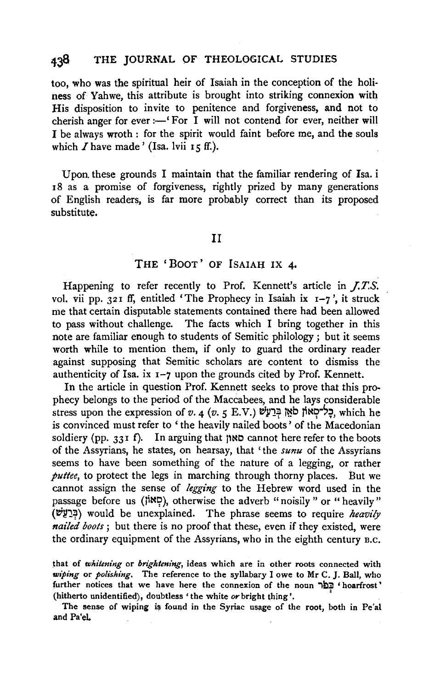too, who was the spiritual heir of Isaiah in the conception of the holiness of Yahwe, this attribute is brought into striking connexion with His disposition to invite to penitence and forgiveness, and not to cherish anger for ever :— $\cdot$  For I will not contend for ever, neither will I be always wroth : for the spirit would faint before me, and the souls which  $I$  have made' (Isa. lvii 15 ff.).

Upon. these grounds I maintain that the familiar rendering of Isa. i I8 as a promise of forgiveness, rightly prized by many generations of English readers, is far more probably correct than its proposed substitute.

#### II

## THE 'BOOT' OF ISAIAH IX 4•

Happening to refer recently to Prof. Kennett's article in *J.T.S.*  vol. vii pp. 321 ff, entitled 'The Prophecy in Isaiah ix  $I-7$ ', it struck me that certain disputable statements contained there had been allowed to pass without challenge. The facts which I bring together in this note are familiar enough to students of Semitic philology ; but it seems worth while to mention them, if only to guard the ordinary reader against supposing that Semitic scholars are content to dismiss the authenticity of Isa. ix  $I-7$  upon the grounds cited by Prof. Kennett.

In the article in question Prof. Kennett seeks to prove that this prophecy belongs to the period of the Maccabees, and he lays considerable stress upon the expression of *v.* 4 (*v.* 5 E.V.) לְאֵן בְּרַעֲשׁ, which he is convinced must refer to 'the heavily nailed boots' of the Macedonian soldiery (pp. 331 f). In arguing that  $\mathcal{H}$  and cannot here refer to the boots of the Assyrians, he states, on hearsay, that 'the *sunu* of the Assyrians seems to have been something of the nature of a legging, or rather *puttee,* to protect the legs in marching through thorny places. But we cannot assign the sense of *!egging* to the Hebrew word used in the passage before us ( $\sharp \mathbb{R}$ ), otherwise the adverb "noisily " or "heavily" (~111~) would be unexplained. The phrase seems to require *heavily nailed boots;* but there is no proof that these, even if they existed, were the ordinary equipment of the Assyrians, who in the eighth century B.c.

that of *whitening* or *brightening,* ideas which are in other roots connected with *wiping* or *polishing.* The reference to the syllabary I owe to Mr C. J. Ball, who further notices that we have here the connexion of the noun "פְּפֹר 'hoarfrost' (hitherto unidentified), doubtless 'the white or bright thing'.

The sense of wiping is found in the Syriac usage of the root, both in Pe'al and Pa'eL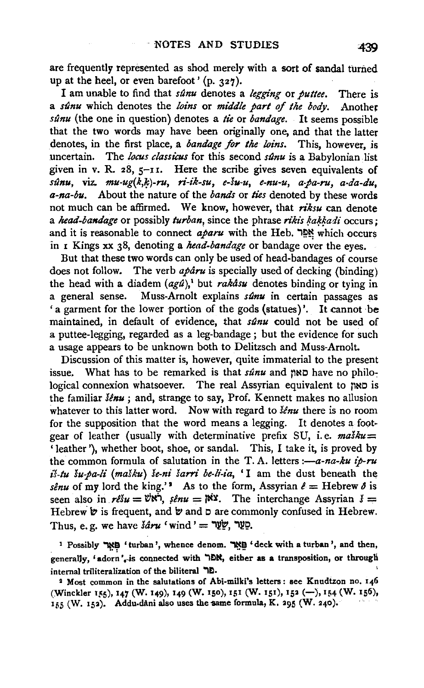are frequently represented as shod merely with a sort of sandal turned up at the heel, or even barefoot' (p. 327).

I am unable to find that *s(mu* denotes a *!egging* or *puttee.* There is a *sunu* which denotes the *loins* or *middle part of the body.* Another *sunu* (the one in question) denotes a *tie* or *bandage.* It seems possible that the two words may have been originally one, and that the latter denotes, in the first place, a *bandage for the loins.* This, however, is uncertain. The *locus classicus* for this second *sunu* is a Babylonian list given in v. R. 28,  $5$ -11. Here the scribe gives seven equivalents of *sunu,* viz. *mu-ug(k,lp)-ru, ri-ik-su, e-su-u, e-nu-u, a.pa-ru, a-da-du, a-na-bu.* About the nature of the *bands* or *ties* denoted by these words not much can be affirmed. We know, however, that *n"ksu* can denote a *head-bandage* or possibly *turban*, since the phrase *rikis kakkadi* occurs; and it is reasonable to connect *aparu* with the Heb. "Reserving which occurs in I Kings xx 38, denoting a *head-bandage* or bandage over the eyes.

But that these two words can only be used of head-bandages of course does not follow. The verb *aparu* is specially used of decking (binding) the head with a diadem  $(agd)_i$ <sup>t</sup> but *rakasu* denotes binding or tying in a general sense. Muss-Arnolt explains *sunu* in certain passages as ' a garment for the lower portion of the gods (statues)'. It cannot be maintained, in default of evidence, that *st2nu* could not be used of a puttee-legging, regarded as a leg-bandage; but the evidence for such a usage appears to be unknown both to Delitzsch and Muss-Arnolt.

Discussion of this matter is, however, quite immaterial to the present issue. What has to be remarked is that *s/Jnu* and flNC have no philo~ logical connexion whatsoever. The real Assyrian equivalent to had is the familiar *senu ;* and, strange to say, Prof. Kennett makes no allusion whatever to this latter word. Now with regard to *lénu* there is no room for the supposition that the word means a legging. It denotes a footgear of leather (usually with determinative prefix SU, i.e.  $ma\ddot{s}du=$ ' leather '), whether boot, shoe, or sandal. This, I take it, is proved by the common formula of salutation in the T.A. letters *:--a-na-ku ip-ru is-tu su.pa-li (maSku) se-ni sarri be-li-ia,* 'I am the dust beneath the *senu* of my lord the king.' As to the form, Assyrian  $\ell =$  Hebrew  $\delta$  is seen also in  $r \ell s u = v' \kappa \gamma$ ,  $\ell m u = \kappa s$ . The interchange Assyrian  $\delta =$ Hebrew  $\psi$  is frequent, and  $\psi$  and  $\Box$  are commonly confused in Hebrew. Thus, e.g. we have  $\delta \hat{a} r u$  'wind ' = שֲעָר.

<sup>1</sup> Possibly  $\mathbb{R}^n$  ' turban', whence denom.  $\mathbb{R}^n$  ' deck with a turban', and then, generally, 'adorn', is connected with TDN, either as a transposition, or through internal triliteralization of the biliteral "10.

<sup>2</sup> Most common in the salutations of Abi-milki's letters: see Knudtzon no. 146 (Winckler 155), 147 (W. 149), 149 (W. 150), 151 (W. 151), 152 (-), 154 (W. 156),  $155$  (W. 152). Addu-dani also uses the same formula, K. 295 (W. 240).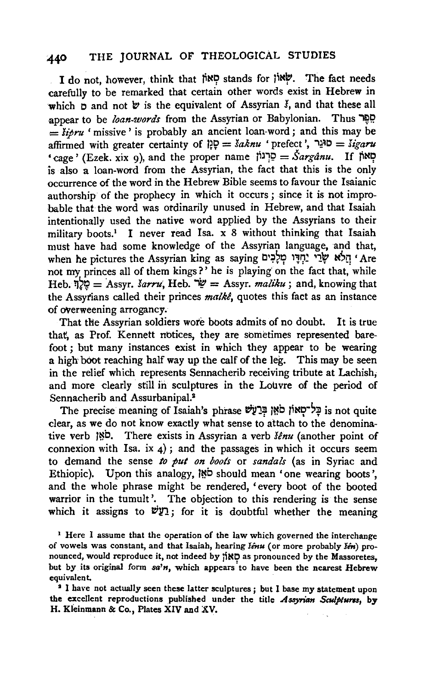I do not, however, think that ~N9 stands for jiN~. The fact needs carefully to be remarked that certain other words exist in Hebrew in which p and not  $\forall$  is the equivalent of Assyrian  $\check{\mathbf{y}}$ , and that these all appear to be *loan-words* from the Assyrian or Babylonian. Thus  $=$  *sipru* 'missive' is probably an ancient loan-word; and this may be affirmed with greater certainty of  $\ddot{P} = \ddot{s}a\dot{k}nu$  ' prefect',  $\ddot{S} = \ddot{s}igaru$ 'cage' (Ezek. xix 9), and the proper name  $\zeta^2 = \zeta^2$ רְגוֹן) =  $\zeta^2 = \zeta^2$ מאוֹ is also a loan-word from the Assyrian, the fact that this is the only occurrence of the word in the Hebrew Bible seems to favour the Isaianic authorship of the prophecy in which it occurs ; since it is not improbable that the word was ordinarily unused in Hebrew, and that Isaiah intentiohally used the native word applied by the Assyrians to their military boots.<sup>1</sup> I never read Isa. x 8 without thinking that Isaiah must have had some knowledge of the Assyrian language, and that, hen he pictures the Assyrian king as saying 'חֲלָא שָׂרֵי יַחְדֵּוּ מְלֵבְים 'Are not my princes all of them kings?' he is playing on the fact that, while  $Heb.$   $\frac{1}{2}\frac{1}{2}\frac{1}{2} = \text{Assyr.}$  *Jarru*,  $Heb.$   $\frac{1}{2}\frac{1}{2} = \text{Assyr.}$  *maliku* ; and, knowing that the Assytians called their princes *malke,* quotes this fact as an instance of overweening arrogancy.

That the Assyrian soldiers wore boots admits of no doubt. It is true that, as Prof. Kennett notices, they are sometimes represented barefoot ; but many instances exist in which they appear to be wearing a high boot reaching half way up the calf of the leg. This may be seen in the relief which represents Sennacherib receiving tribute at Lachish; and more clearly still in sculptures in the Louvre of the period of Sennacherib and Assurbanipal.<sup>3</sup>

The precise meaning of Isaiah's phrase וּבְל־סְאוֹן סֹאֵן בְּרַעֲשׁ is not quite clear, as we do not know exactly what sense to attach to the denominative verb ;~b. There exists in Assyrian a verb *senu* (another point of connexion with Isa. ix  $4$ ); and the passages in which it occurs seem to demand the sense *to pul on boots* or *sandals* (as in Syriac and Ethiopic). Upon this analogy,  $\mathbb{R}^{\mathbf{b}}$  should mean 'one wearing boots'. and the whole phrase might be rendered, 'every boot of the booted warrior in the tumult'. The objection to this rendering is the sense which it assigns to  $\psi$ ??; for it is doubtful whether the meaning

<sup>1</sup> Here I assume that the operation of the law which governed the interchange of vowels was constant, and that Isaiah, hearing *Senu* (or more probably *Sen*) pronounced, would reproduce it, not indeed by  $\sharp \mathsf{ND}$  as pronounced by the Massoretes, but by its original form *sa'n*, which appears to have been the nearest Hebrew equivalent.

<sup>3</sup> I have not actually seen these latter sculptures ; but I base my statement upon the excellent reproductions published under the title Assyrian Sculptures, by H. Kleinmann & Co., Plates XIV and XV.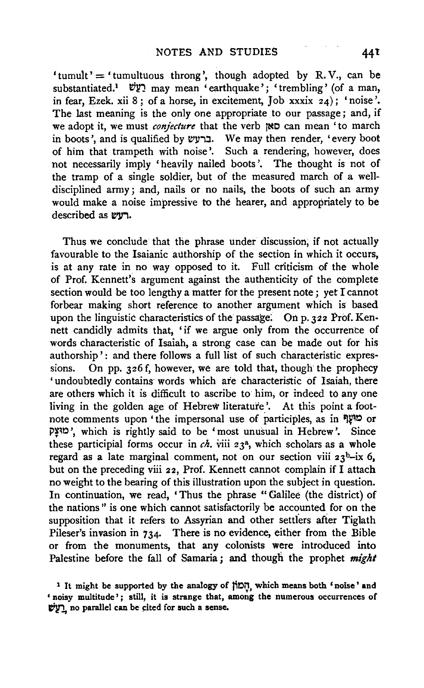'tumult' = 'tumultuous throng', though adopted by R.V., can be substantiated.<sup>1</sup> *בֹּוֹשׁ* may mean 'earthquake'; 'trembling' (of a man, in fear, Ezek. xii 8; of a horse, in excitement, Job xxxix  $24$ ); 'noise'. The last meaning is the only one appropriate to our passage; and, if we adopt it, we must *conjecture* that the verb fNO can mean 'to march in boots', and is qualified by ברעש. We may then render, 'every boot of him that trampeth with noise'. Such a rendering, however, does not necessarily imply 'heavily nailed boots '. The thought is not of the tramp of a single soldier, but of the measured march of a welldisciplined army; and, nails or no nails, the boots of such an army would make a noise impressive to the hearer, and appropriately to be described as vvn.

Thus we conclude that the phrase under discussion; if not actually favourable to the Isaianic authorship of the section in which it occurs, is at any rate in no way opposed to it. Full criticism of the whole of Prof. Kennett's argument against the authenticity of the complete section would be too lengthy a matter for the present note ; yet I cannot forbear making short reference to another argument which is based upon the linguistic characteristics of the passage. On p. 322 Prof. Kennett candidly admits that, 'if we argue only from the occurrence of words characteristic of Isaiah, a strong case can be made out for his authorship': and there follows a full list of such characteristic expressions. On pp. 326 f, however, we are told that, though the prophecy 'undoubtedly contains words which are characteristic of Isaiah, there are others which it is difficult to ascribe to him, or indeed to any one living in the golden age of Hebrew literature '. At this point a footnote comments upon 'the impersonal use of participles, as in T P~~c ', which is rightly said to be 'most unusual in Hebrew'. Since these participial forms occur in  $ch.$  viii 23<sup>a</sup>, which scholars as a whole regard as a late marginal comment, not on our section viii  $23^b$ -ix 6, but on the preceding viii 22, Prof. Kennett cannot complain if I attach no weight to the bearing of this illustration upon the subject in question. In continuation, we read, 'Thus the phrase "Galilee (the district) of the nations " is one which cannot satisfactorily be accounted for on the supposition that it refers to Assyrian and other settlers after Tiglath Pileser's invasion in 734. There is no evidence, either from the Bible or from the monuments, that any colonists were introduced into Palestine before the fall of Samaria ; and though the prophet *might* 

<sup>1</sup> It might be supported by the analogy of  $\overline{CD}$ , which means both 'noise' and ' noisy multitude'; still, it is strange that, among the numerous occurrences of ~ no parallel can be cited for such a sense.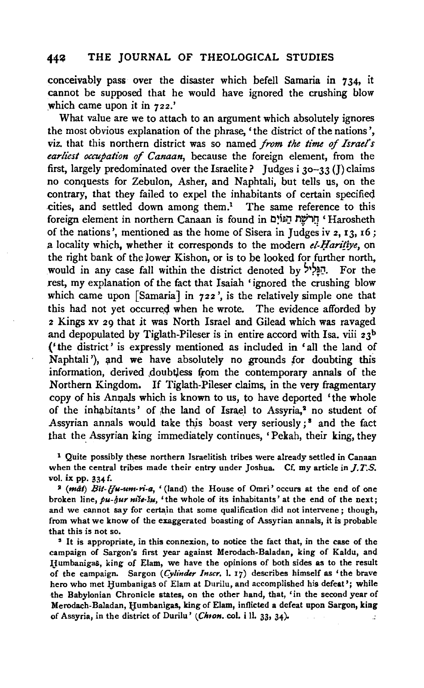conceivably pass over the disaster which befell Samaria in 734, it cannot be supposed that he would have ignored the crushing blow which came upon it in 722.'

What value are we to attach to an argument which absolutely ignores the most obvious explanation of the phrase, 'the district of the nations', viz. that this northern district was so named *from the time of Israel's earliest occupation* of *Canaan,* because the foreign element, from the first, largely predominated over the Israelite ? Judges i 30-33 (J) claims no conquests for Zebulon, Asher, and Naphtali, but tells us, on the contrary, that they failed to expel the inhabitants of certain specifieq cities, and settled down among them.<sup>1</sup> The same reference to this foreign element in northern Canaan is found in יְהֵרֹשֶׁת הֲגּוֹיָם 'Harosheth of the nations', mentioned as the home of Sisera in Judges iv  $2$ ,  $13$ ,  $16$ ; a locality which, whether it corresponds to the modern *el-Harifiye*, on the right bank of the lower Kishon, or is to be looked for further north, would in any case fall within the district denoted by  $\mathbb{R}^3$ . For the rest, my explanation of the fact that Isaiah 'ignored the crushing blow which came upon [Samaria] in 722', is the relatively simple one that this had not yet occurred when he wrote. The evidence afforded by 2 Kings xv 29 that jt was North Israel and Gilead which was ravaged and depopulated by Tiglath-Pileser is in entire accord with Isa. viii  $23^b$ ('the district' is expressly mentioned as included in 'all the land of Naphtali'), and we have absolutely no grounds for doubting this information, derived doubtless from the contemporary annals of the Northern Kingdom. If Tiglath-Pileser claims, in the very fragmentary copy of his Annals which is known to us, to have deported 'the whole of the inhabitants' of the land of Israel to Assyria.<sup>2</sup> no student of Assyrian annals would take this boast very seriously;<sup>8</sup> and the fact that the Assyrian king immediately continues, 'Pekah, their king, they

<sup>1</sup> Quite possibly these northern Israelitish tribes were already settled in Canaan when the central tribes made their entry under Joshua. Cf. my article in  $J.T.S.$ *vol.* ix pp. 334 f.

1 *(mat) 8it-{fu-um-ri-a,* '(land) the House of Omri' occurs at the end of one broken line,  $pu$ -*lyur niše*·šu, 'the whole of its inhabitants' at the end of the next; and we cannot say for certain that some qualification did not intervene; though, from what we know of the exaggerated boasting of Assyrian annals, it is probable that this is not so.

• It is appropriate, in this connexion, to notice the fact that, in the case of the campaign of Sargon's first year against Merodach-Baladan, king of Kaldu, and IIumbanigas, king of Elam, we have the opinions of both sides as to the result of the campaign. Sargon *(Cylinder lnscr.* I. 17) describes himself as 'the brave hero who met Humbanigas of Elam at Durilu, and accomplished his defeat'; while the Babylonian Chronicle states, on the other hand, that, 'in the second year of Merodach-Baladan, Humbanigas, king of Elam, inflicted a defeat upon Sargon, king of Assyria, in the district of Durilu' (Ch10n. col. i ll. 33, 34).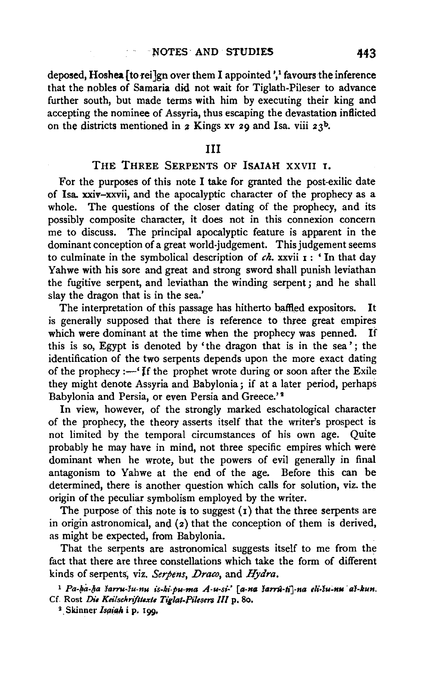deposed, Hoshea  $\lceil$  to rei $\rceil$ gn over them I appointed ',<sup>1</sup> favours the inference that the nobles of Samaria did not wait for Tiglath-Pileser to advance further south, but made terms with him by executing their king and accepting the nominee of Assyria, thus escaping the devastation inflicted on the districts mentioned in *2* Kings xv 29 and Isa. viii 23<sup>b</sup>.

#### Ill

#### THE THREE SERPENTS OF ISAIAH XXVII I.

For the purposes of this note I take for granted the post-exilic date of Isa. xxiv-xxvii, and the apocalyptic character of the prophecy as a whole. The questions of the closer dating of the prophecy, and its possibly composite character, it does not in this connexion concern me to discuss. The principal apocalyptic feature is apparent in the dominant conception of a great world-judgement. This judgement seems to culminate in the symbolical description of *ch*. xxvii **1** : 'In that day Yahwe with his sore and great and strong sword shall punish leviathan the fugitive serpent, and leviathan the winding serpent; and he shall slay the dragon that is in the sea.'

The interpretation of this passage has hitherto baffled expositors. It is generally supposed that there is reference to three great empires which were dominant at the time when the prophecy was penned. If this is so, Egypt is denoted by 'the dragon that is in the sea'; the identification of the two serpents depends upon the more exact dating of the prophecy  $:$  'f the prophet wrote during or soon after the Exile they might denote Assyria and Babylonia; if at a later period, perhaps Babylonia and Persia, or even Persia and Greece.'<sup>2</sup>

In view, however, of the strongly marked eschatological character of the prophecy, the theory asserts itself that the writer's prospect is not limited by the temporal circumstances of his own age. Quite probably he may have in mind, not three specific empires which were dominant when he wrote, but the powers of evil generally in final antagonism to Yahwe at the end of the age. Before this can be determined, there is another question which calls for solution, viz. the origin of the peculiar symbolism employed by the writer.

The purpose of this note is to suggest  $(i)$  that the three serpents are in origin astronomical, and (z) that the conception of them is derived, as might be expected, from Babylonia.

That the serpents are astronomical suggests itself to me from the fact that there are three constellations which take the form of different kinds of serpents, viz. Serpens, Draco, and Hydra.

 $1$  Pa-ka-ha sarru-su-nu is-ki-pu-ma A-u-si-' [a-na sarru-ti]-na eli-su-nu as-kun. Cf. Rost *Die Keilschnfllexte Tiglat-Pilesen Ill* p. 8o.

<sup>&</sup>lt;sup>2</sup> Skinner Isaiah i p. 199.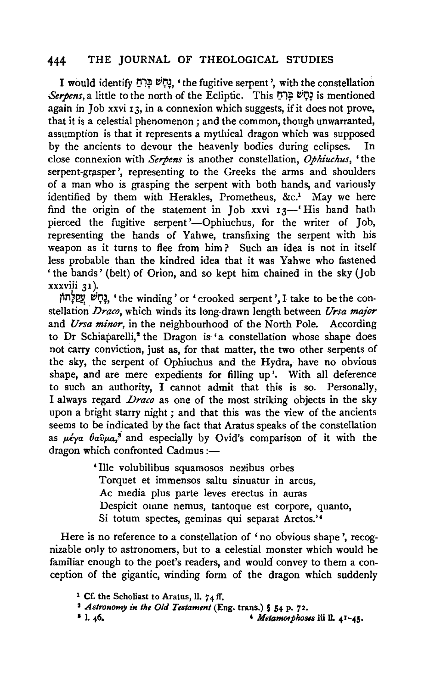I would identify נָחָשׁ בַּרְחַ, 'the fugitive serpent', with the constellation *Serpens,* a little to the north of the Ecliptic. This IJ"lf eiiJ~ is mentioned again in Job xxvi 13, in a connexion which suggests, if it does not prove, that it is a celestial phenomenon; and the common, though unwarranted, assumption is that it represents a mythical dragon which was supposed by the ancients to devour the heavenly bodies during eclipses. In close connexion with *Serpens* is another constellation, *Ophiuchus,* 'the serpent-grasper', representing to the Greeks the arms and shoulders of a man who is grasping the serpent with both hands, and variously identified by them with Herakles, Prometheus, &c.<sup>1</sup> May we here find the origin of the statement in Job xxvi  $13$ —' His hand hath pierced the fugitive serpent'--Ophiuchus, for the writer of Job, representing the hands of Yahwe, transfixing the serpent with his weapon as it turns to flee from him ? Such an idea is not in itself less probable than the kindred idea that it was Yahwe who fastened 'the bands' (belt) of Orion, and so kept him chained in the sky (Job xxxviii 31 ).

וָקָשׁ אֲפֵלְתוֹן, 'the winding' or 'crooked serpent', I take to be the constellation *Draco,* which winds its long-drawn length between *Ursa major*  and *Ursa minor,* in the neighbourhood of the North Pole. According to Dr Schiaparelli,<sup>2</sup> the Dragon is 'a constellation whose shape does not carry conviction, just as, for that matter, the two other serpents of the sky, the serpent of Ophiuchus and the Hydra, have no obvious shape, and are mere expedients for filling up'. With all deference to such an authority, I cannot admit that this is so. Personally, I always regard *Draco* as one of the most striking objects in the sky upon a bright starry night ; and that this was the view of the ancients seems to be indicated by the fact that Aratus speaks of the constellation as  $\mu \epsilon \gamma a$   $\theta a \hat{v} \mu a$ ,<sup>3</sup> and especially by Ovid's comparison of it with the dragon which confronted Cadmus :-

> ' Ille volubilibus squamosos nexibus orbes Torquet et immensos saltu sinuatur in arcus, Ac media plus parte leves erectus in auras Despicit omne nemus, tantoque est corpore, quanto, Si totum spectes, geminas qui separat Arctos.''

Here is no reference to a constellation of 'no obvious shape', recognizable only to astronomers, but to a celestial monster which would he familiar enough to the poet's readers, and would convey to them a conception of the gigantic, winding form of the dragon which suddenly

<sup>1</sup> Cf. the Scholiast to Aratus, 11. 7+1f. 2 *Astronomy in the Old Testament* (Eng. trans.) § 54 p. 7z.

 $1.46.$   $4.41-45.$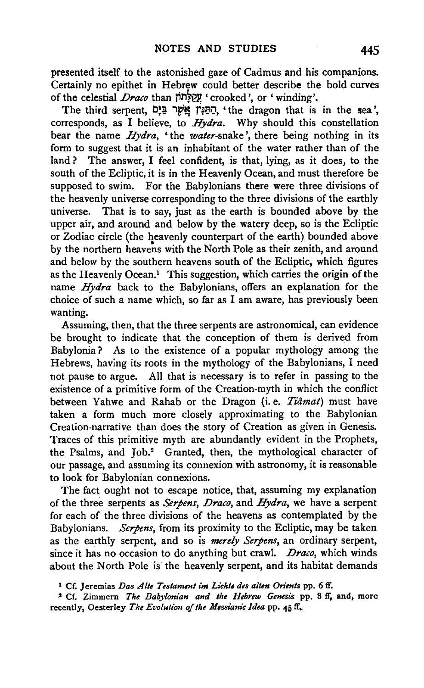presented itself to the astonished gaze of Cadmus and his companions. Certainly no epithet in Hebrew could better describe the bold curves of the celestial *Draco* than JiM~eP, 'crooked', or 'winding'.

The third serpent, הַתַּנִּין אֲשֵׁר בַּיָם, 'the dragon that is in the sea', corresponds, as I believe, to *Hydra.* Why should this constellation bear the name *Hydra,* 'the *water-snake',* there being nothing in its form to suggest that it is an inhabitant of the water rather than of the land? The answer, I feel confident, is that, lying, as it does, to the south of the Ecliptic, it is in the Heavenly Ocean, and must therefore be supposed to swim. For the Babylonians there were three divisions of the heavenly universe corresponding to the three divisions of the earthly universe. That is to say, just as the earth is bounded above by the upper air, and around and below by the watery deep, so is the Ecliptic or Zodiac circle (the heavenly counterpart of the earth) bounded above by the northern heavens with the North Pole as their zenith, and around and below by the southern heavens south of the Ecliptic, which figures as the Heavenly Ocean.1 This suggestion, which carries the origin of the name *Hydra* back to the Babylonians, offers an explanation for the choice of such a name which, so far as I am aware, has previously been wanting.

Assuming, then, that the three serpents are astronomical, can evidence be brought to indicate that the conception of them is derived from Babylonia? As to the existence of a popular mythology among the Hebrews, having its roots in the mythology of the Babylonians, I need not pause to argue. All that is necessary is to refer in passing to the existence of a primitive form of the Creation-myth in which the conflict between Yahwe and Rahab or the Dragon (i.e. *Tiâmat*) must have taken a form much more closely approximating to the Babylonian Creation-narrative than does the story of Creation as given in Genesis. Traces of this primitive myth are abundantly evident in the Prophets, the Psalms, and Job.<sup>2</sup> Granted, then, the mythological character of our passage, and assuming its connexion with astronomy, it is reasonable to look for Babylonian connexions.

The fact ought not to escape notice, that, assuming my explanation of the three serpents as *Serpens, Draco,* and *Hydra,* we have a serpent for each of the three divisions of the heavens as contemplated by the Babylonians. *Serpens,* from its proximity to the Ecliptic, may be taken as the earthly serpent, and so is *merely Serpens,* an ordinary serpent, since it has no occasion to do anything but crawl. *Draco,* which winds about the North Pole is the heavenly serpent, and its habitat demands

1 Cf. Jeremias *Das Alte Testammt im Lichte des a/ten Orients* pp. 6 ff.

<sup>2</sup> Cf. Zimmern *The Babylonian and the Hebrew Genesis* pp. 8 ff, and, more recently, Oesterley *The Evolution of the Messianic Idea* pp. 45 ff,.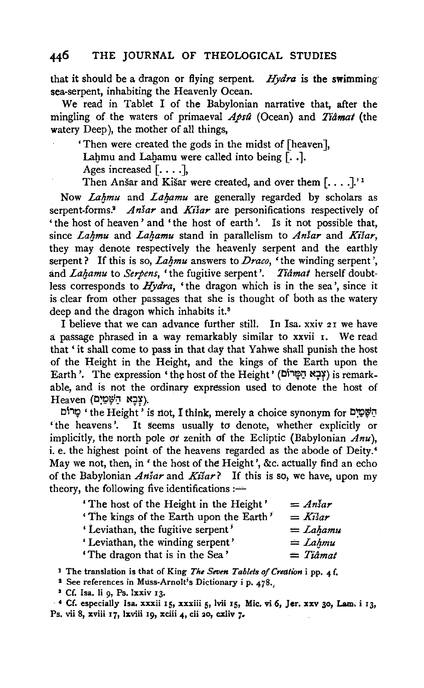that it should be a dragon or flying serpent. *Hydra* is the swimming sea-serpent, inhabiting the Heavenly Ocean.

We read in Tablet I of the Babylonian narrative that, after the mingling of the waters of primaeval *Apst2* (Ocean} and *Tiamat* (the watery Deep), the mother of all things,

'Then were created the gods in the midst of [heaven],

Lahmu and Lahamu were called into being  $[ \cdot , \cdot ]$ .

Ages increased  $[\ldots]$ ,

Then Anšar and Kišar were created, and over them  $[\dots]$ .'<sup>1</sup>

Now *Lahmu* and *Lahamu* are generally regarded by scholars as serpent-forms.<sup>2</sup> *Ansar* and *Kisar* are personifications respectively of 'the host of heaven' and 'the host of earth'. Is it not possible that, since *Lahmu* and *Lahamu* stand in parallelism to *Anšar* and *Kišar*, they may denote respectively the heavenly serpent and the earthly serpent? If this is so, *Lahmu* answers to *Draco*, 'the winding serpent', and *Lahamu* to *Serpens*, 'the fugitive serpent'. *Tiâmat* herself doubtless corresponds to *Hydra*, 'the dragon which is in the sea', since it is clear from other passages that she is thought of both as the watery deep and the dragon which inhabits it.<sup>8</sup>

I believe that we can advance further still. In Isa. xxiv 21 we have a passage phrased in a way remarkably similar to xxvii 1. We read that ' it shall come to pass in that day that Yahwe shall punish the host of the Height in the Height, and the kings of the Earth upon the Earth'. The expression 'the host of the Height' (צְבָא הַפָּרוֹם) is remarkable, and is not the ordinary expression used to denote the host of  $He$ ועָכַא הַשֶּׁמַיִם).

יְהַשָּׁמַיִם the Height' is not, I think, merely a choice synonym for יָחוֹם 'the heavens'. It seems usually to denote, whether explicitly or implicitly, the north pole or zenith of the Ecliptic (Babylonian *Anu),*  i. e. the highest point of the heavens regarded as the abode of Deity.• May we not, then, in ' the host of the Height', &c. actually find an echo of the Babylonian *Ansar* and *Kisar?* If this is so; we have, upon my theory, the following five identifications  $:$ 

| 'The host of the Height in the Height'  | $= A_n$ sar |
|-----------------------------------------|-------------|
| 'The kings of the Earth upon the Earth' | $=$ Kisar   |
| 'Leviathan, the fugitive serpent'       | $=$ Lahamu  |
| 'Leviathan, the winding serpent'        | $=$ Lahmu   |
| 'The dragon that is in the Sea'         | $=$ Tiâmat  |

1 The translation is that of King *The Seven Tablets of Creation* i pp. 4 f.

<sup>2</sup> See references in Muss-Arnolt's Dictionary i p. 478.

• Cf. lsa. 1i g, Ps. lxxiv I3·

 $\cdot$  4 Cf. especially Isa. xxxii 15, xxxiii 5, lvii 15, Mic. vi 6, Jer. xxv 30, Lam. i 13, Ps. vii 8, xviii 17, lxviii 19, xciii 4, cii 20, cxliv 7.